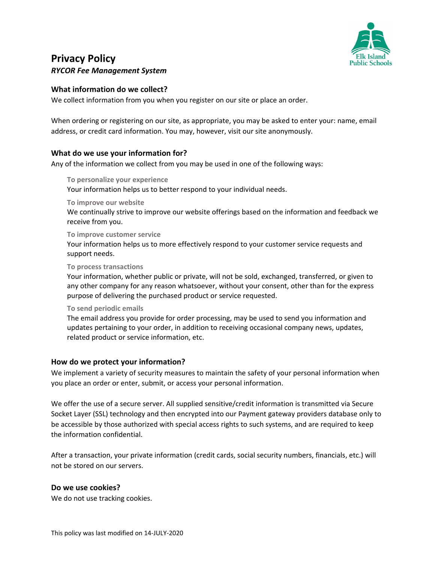

# **Privacy Policy**  *RYCOR Fee Management System*

# **What information do we collect?**

We collect information from you when you register on our site or place an order.

When ordering or registering on our site, as appropriate, you may be asked to enter your: name, email address, or credit card information. You may, however, visit our site anonymously.

# **What do we use your information for?**

Any of the information we collect from you may be used in one of the following ways:

**To personalize your experience**  Your information helps us to better respond to your individual needs.

**To improve our website** 

We continually strive to improve our website offerings based on the information and feedback we receive from you.

**To improve customer service** 

Your information helps us to more effectively respond to your customer service requests and support needs.

#### **To process transactions**

Your information, whether public or private, will not be sold, exchanged, transferred, or given to any other company for any reason whatsoever, without your consent, other than for the express purpose of delivering the purchased product or service requested.

#### **To send periodic emails**

The email address you provide for order processing, may be used to send you information and updates pertaining to your order, in addition to receiving occasional company news, updates, related product or service information, etc.

## **How do we protect your information?**

We implement a variety of security measures to maintain the safety of your personal information when you place an order or enter, submit, or access your personal information.

We offer the use of a secure server. All supplied sensitive/credit information is transmitted via Secure Socket Layer (SSL) technology and then encrypted into our Payment gateway providers database only to be accessible by those authorized with special access rights to such systems, and are required to keep the information confidential.

After a transaction, your private information (credit cards, social security numbers, financials, etc.) will not be stored on our servers.

## **Do we use cookies?**

We do not use tracking cookies.